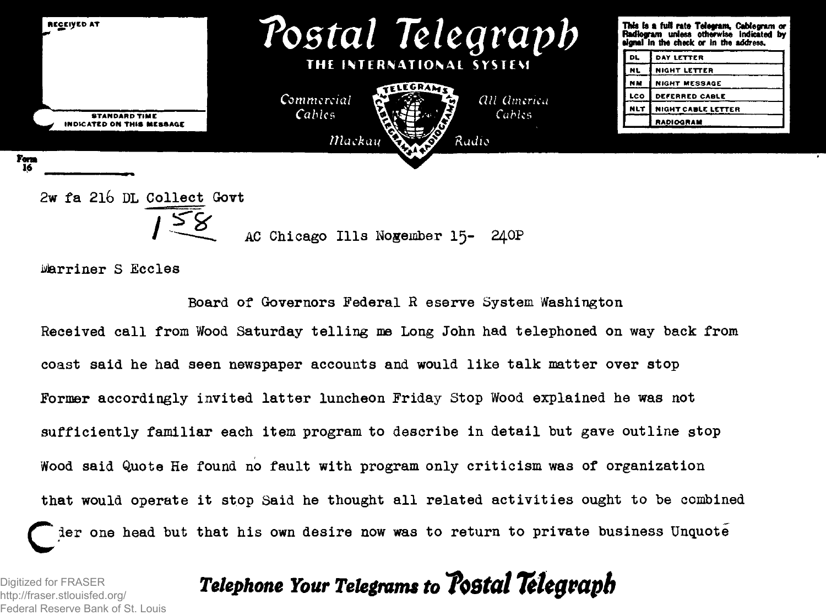

Marriner S Eccles

Board of Governors Federal R eserve System Washington Received call from Wood Saturday telling me Long John had telephoned on way back from coast said he had seen newspaper accounts and would like talk matter over stop Former accordingly invited latter luncheon Friday Stop Wood explained he was not sufficiently familiar each item program to describe in detail but gave outline stop Wood said Quote He found no fault with program only criticism was of organization that would operate it stop Said he thought all related activities ought to be combined der one head but that his own desire now was to return to private business Unquote

*Telephone Your Telegrams to ToStat Telegraph*

http://fraser.stlouisfed.org/ Digitized for FRASER Federal Reserve Bank of St. Louis